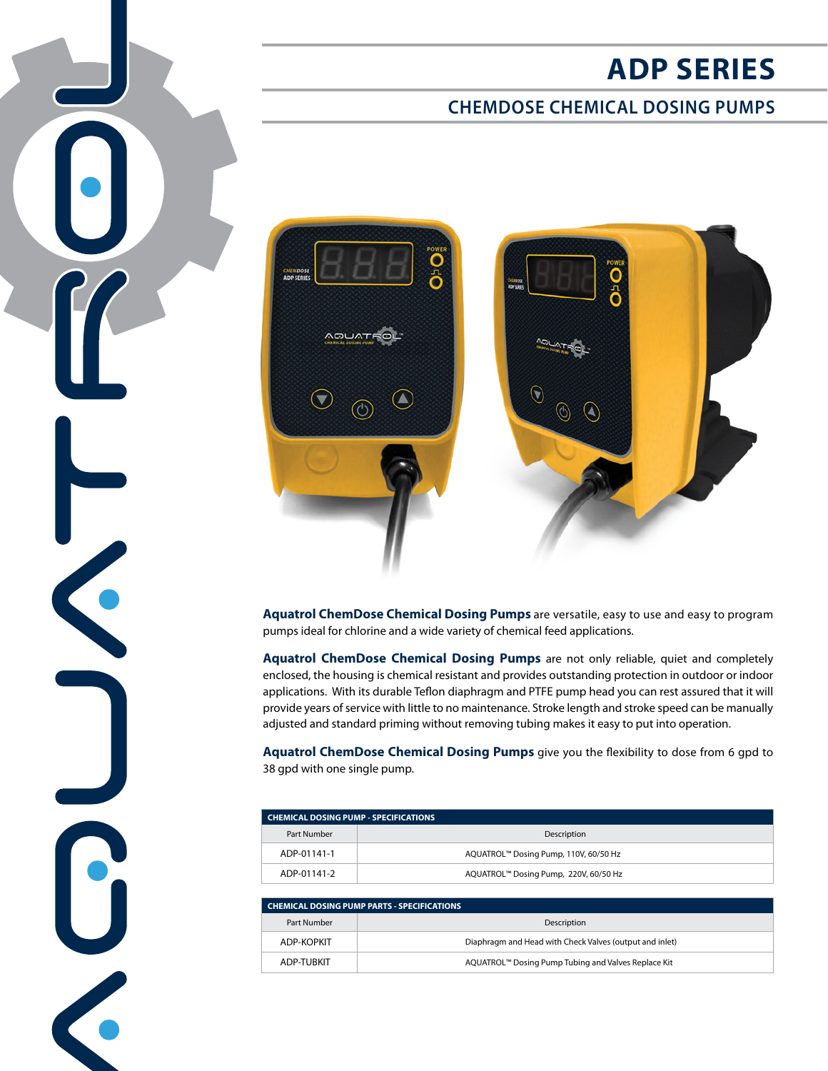# **ADP SERIES**

## **CHEMDOSE CHEMICAL DOSING PUMPS**



 $\left| \bullet \right|$ 

C

 $\bigodot$ 

**Aquatrol ChemDose Chemical Dosing Pumps** are versatile, easy to use and easy to program pumps ideal for chlorine and a wide variety of chemical feed applications.

**Aquatrol ChemDose Chemical Dosing Pumps** are not only reliable, quiet and completely enclosed, the housing is chemical resistant and provides outstanding protection in outdoor or indoor applications. With its durable Teflon diaphragm and PTFE pump head you can rest assured that it will provide years of service with little to no maintenance. Stroke length and stroke speed can be manually adjusted and standard priming without removing tubing makes it easy to put into operation.

**Aquatrol ChemDose Chemical Dosing Pumps** give you the flexibility to dose from 6 gpd to 38 gpd with one single pump.

| <b>CHEMICAL DOSING PUMP - SPECIFICATIONS</b> |                                       |
|----------------------------------------------|---------------------------------------|
| Part Number                                  | Description                           |
| ADP-01141-1                                  | AQUATROL™ Dosing Pump, 110V, 60/50 Hz |
| ADP-01141-2                                  | AQUATROL™ Dosing Pump, 220V, 60/50 Hz |

| <b>CHEMICAL DOSING PUMP PARTS - SPECIFICATIONS</b> |                                                         |
|----------------------------------------------------|---------------------------------------------------------|
| Part Number                                        | Description                                             |
| ADP-KOPKIT                                         | Diaphragm and Head with Check Valves (output and inlet) |
| ADP-TURKIT                                         | AQUATROL™ Dosing Pump Tubing and Valves Replace Kit     |